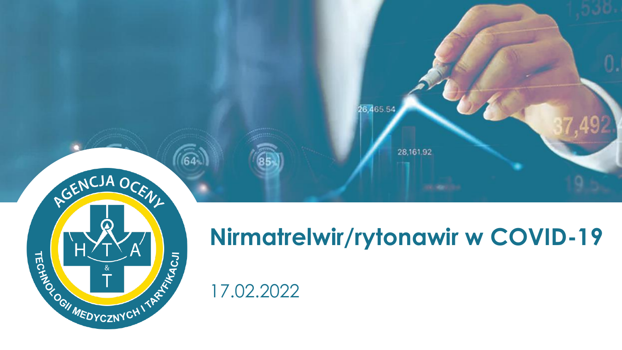

# $\boldsymbol{\Omega}$ **HALLYCZNYCHITARY**

# **Nirmatrelwir/rytonawir w COVID-19**

# 17.02.2022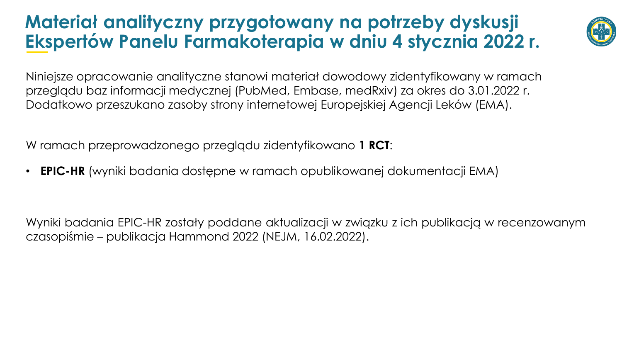#### **Materiał analityczny przygotowany na potrzeby dyskusji Ekspertów Panelu Farmakoterapia w dniu 4 stycznia 2022 r.**



Niniejsze opracowanie analityczne stanowi materiał dowodowy zidentyfikowany w ramach przeglądu baz informacji medycznej (PubMed, Embase, medRxiv) za okres do 3.01.2022 r. Dodatkowo przeszukano zasoby strony internetowej Europejskiej Agencji Leków (EMA).

W ramach przeprowadzonego przeglądu zidentyfikowano **1 RCT**:

• **EPIC-HR** (wyniki badania dostępne w ramach opublikowanej dokumentacji EMA)

Wyniki badania EPIC-HR zostały poddane aktualizacji w związku z ich publikacją w recenzowanym czasopiśmie – publikacja Hammond 2022 (NEJM, 16.02.2022).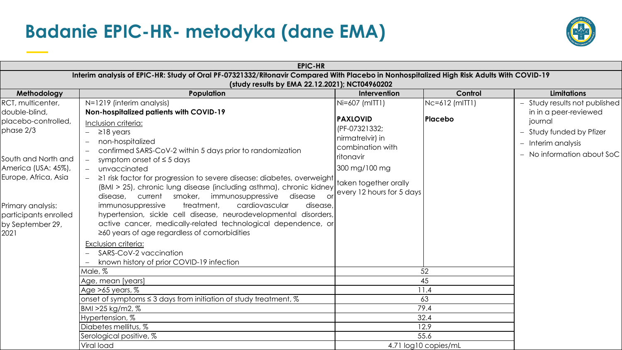#### **Badanie EPIC-HR- metodyka (dane EMA)**



|                                                                        | <b>EPIC-HR</b>                                                                                                                                                                                                                                                                                                 |                                                                                            |                           |                                                                                                                     |
|------------------------------------------------------------------------|----------------------------------------------------------------------------------------------------------------------------------------------------------------------------------------------------------------------------------------------------------------------------------------------------------------|--------------------------------------------------------------------------------------------|---------------------------|---------------------------------------------------------------------------------------------------------------------|
|                                                                        | Interim analysis of EPIC-HR: Study of Oral PF-07321332/Ritonavir Compared With Placebo in Nonhospitalized High Risk Adults With COVID-19<br>(study results by EMA 22.12.2021); NCT04960202                                                                                                                     |                                                                                            |                           |                                                                                                                     |
| Methodology                                                            | Population                                                                                                                                                                                                                                                                                                     | Intervention                                                                               | Control                   | <b>Limitations</b>                                                                                                  |
| RCT, multicenter,<br>double-blind,<br>placebo-controlled,<br>phase 2/3 | N=1219 (interim analysis)<br>Non-hospitalized patients with COVID-19<br>Inclusion criteria:<br>$\geq$ 18 years<br>non-hospitalized<br>confirmed SARS-CoV-2 within 5 days prior to randomization                                                                                                                | Ni=607 (mITT1)<br><b>PAXLOVID</b><br>(PF-07321332;<br>nirmatrelvir) in<br>combination with | Nc=612 (mITT1)<br>Placebo | - Study results not published<br>in in a peer-reviewed<br>journal<br>- Study funded by Pfizer<br>- Interim analysis |
| South and North and<br>America (USA: 45%),<br>Europe, Africa, Asia     | symptom onset of $\leq$ 5 days<br>$\overline{\phantom{m}}$<br>unvaccinated<br>$ \,$<br>$ \geq$ 1 risk factor for progression to severe disease: diabetes, overweight<br>(BMI > 25), chronic lung disease (including asthma), chronic kidney<br>disease, current smoker, immunosuppressive disease<br><b>or</b> | ritonavir<br>300 mg/100 mg<br>taken together orally<br>every 12 hours for 5 days           |                           | - No information about SoC                                                                                          |
| Primary analysis:<br>participants enrolled<br>by September 29,<br>2021 | cardiovascular<br>immunosuppressive<br>treatment,<br>disease,<br>hypertension, sickle cell disease, neurodevelopmental disorders,<br>active cancer, medically-related technological dependence, or<br>$\geq$ 60 years of age regardless of comorbidities                                                       |                                                                                            |                           |                                                                                                                     |
|                                                                        | Exclusion criteria:<br>SARS-CoV-2 vaccination<br>known history of prior COVID-19 infection                                                                                                                                                                                                                     |                                                                                            |                           |                                                                                                                     |
|                                                                        | Male, %                                                                                                                                                                                                                                                                                                        | 52                                                                                         |                           |                                                                                                                     |
|                                                                        | Age, mean [years]                                                                                                                                                                                                                                                                                              | 45                                                                                         |                           |                                                                                                                     |
|                                                                        | $ Age>65$ years, $%$                                                                                                                                                                                                                                                                                           | 11.4                                                                                       |                           |                                                                                                                     |
|                                                                        | onset of symptoms $\leq$ 3 days from initiation of study treatment, $\%$                                                                                                                                                                                                                                       | 63                                                                                         |                           |                                                                                                                     |
|                                                                        | BMI >25 kg/m2, %<br>Hypertension, %                                                                                                                                                                                                                                                                            | 79.4<br>32.4                                                                               |                           |                                                                                                                     |
|                                                                        | Diabetes mellitus, %                                                                                                                                                                                                                                                                                           | 12.9                                                                                       |                           |                                                                                                                     |
|                                                                        | Serological positive, %                                                                                                                                                                                                                                                                                        |                                                                                            | 55.6                      |                                                                                                                     |
|                                                                        | Viral load                                                                                                                                                                                                                                                                                                     | 4.71 log10 copies/mL                                                                       |                           |                                                                                                                     |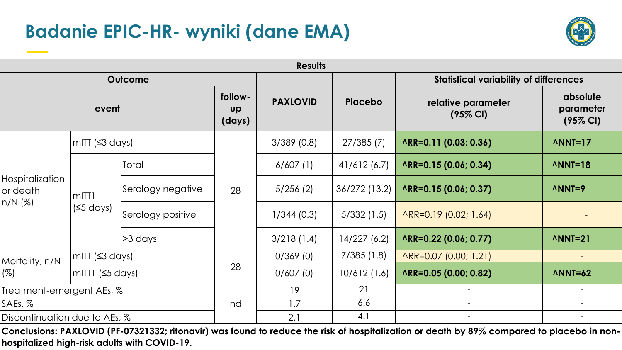# **Badanie EPIC-HR- wyniki (dane EMA)**



|                                          |                                 |                   |                                | <b>Results</b>  |                          |                                               |                                              |
|------------------------------------------|---------------------------------|-------------------|--------------------------------|-----------------|--------------------------|-----------------------------------------------|----------------------------------------------|
| <b>Outcome</b>                           |                                 |                   |                                |                 |                          | <b>Statistical variability of differences</b> |                                              |
| event                                    |                                 |                   | follow-<br><b>UP</b><br>(days) | <b>PAXLOVID</b> | <b>Placebo</b>           | relative parameter<br>$(95\% \text{ Cl})$     | absolute<br>parameter<br>$(95\% \text{ Cl})$ |
| Hospitalization<br>or death<br>$n/N$ (%) | $mIT$ ( $\leq$ 3 days)          |                   |                                | $3/389$ (0.8)   | 27/385(7)                | ARR=0.11 (0.03; 0.36)                         | $MNI=17$                                     |
|                                          | mITT <sub>1</sub><br>$(5$ days) | Total             | 28                             | 6/607(1)        | 41/612(6.7)              | ARR=0.15 (0.06; 0.34)                         | $\land$ NNT=18                               |
|                                          |                                 | Serology negative |                                | 5/256(2)        | 36/272 (13.2)            | ARR=0.15 (0.06; 0.37)                         | $\land$ NNT=9                                |
|                                          |                                 | Serology positive |                                | 1/344(0.3)      | 5/332(1.5)               | $\wedge$ RR=0.19 (0.02; 1.64)                 |                                              |
|                                          |                                 | $>3$ days         |                                | 3/218(1.4)      | 14/227 (6.2)             | ARR=0.22 (0.06; 0.77)                         | $MNI=21$                                     |
| Mortality, n/N<br>(%)                    | $\vert$ mITT (≤3 days)          |                   | 28                             | 0/369(0)        | 7/385(1.8)               | ARR=0.07 (0.00; 1.21)                         |                                              |
|                                          | mITT1 $(5$ days)                |                   |                                | 0/607(0)        | 10/612 (1.6)             | ARR=0.05 (0.00; 0.82)                         | $\land$ NNT=62                               |
| Treatment-emergent AEs, %                |                                 |                   | 19                             | 21              |                          |                                               |                                              |
| SAEs, %                                  |                                 | nd                | 1.7                            | 6.6             | $\overline{\phantom{a}}$ |                                               |                                              |
| Discontinuation due to AEs, %            |                                 |                   | 2.1                            | 4.1             | $\overline{\phantom{a}}$ |                                               |                                              |

Conclusions: PAXLOVID (PF-07321332; ritonavir) was found to reduce the risk of hospitalization or death by 89% compared to placebo in non**hospitalized high-risk adults with COVID-19.**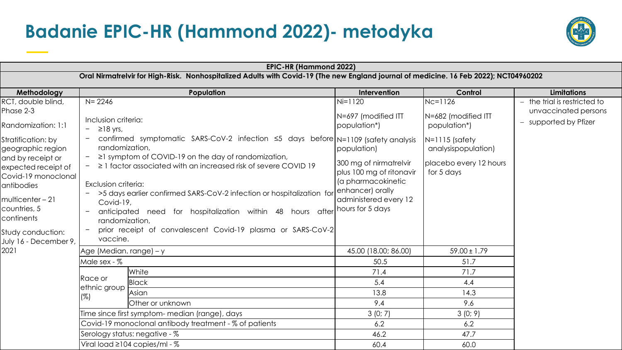### **Badanie EPIC-HR (Hammond 2022)- metodyka**



|                                                                                                                                                                                                                                                                                         |                                                                                                                                                                                   | <b>EPIC-HR (Hammond 2022)</b>                                                                                                                                                                                                                                                                                                                                                                                                |                                                                                                                                                                                                              |                                                                                                                                   |                                                                               |  |
|-----------------------------------------------------------------------------------------------------------------------------------------------------------------------------------------------------------------------------------------------------------------------------------------|-----------------------------------------------------------------------------------------------------------------------------------------------------------------------------------|------------------------------------------------------------------------------------------------------------------------------------------------------------------------------------------------------------------------------------------------------------------------------------------------------------------------------------------------------------------------------------------------------------------------------|--------------------------------------------------------------------------------------------------------------------------------------------------------------------------------------------------------------|-----------------------------------------------------------------------------------------------------------------------------------|-------------------------------------------------------------------------------|--|
|                                                                                                                                                                                                                                                                                         |                                                                                                                                                                                   | Oral Nirmatrelvir for High-Risk. Nonhospitalized Adults with Covid-19 (The new England journal of medicine. 16 Feb 2022); NCT04960202                                                                                                                                                                                                                                                                                        |                                                                                                                                                                                                              |                                                                                                                                   |                                                                               |  |
| Methodology                                                                                                                                                                                                                                                                             |                                                                                                                                                                                   | Population                                                                                                                                                                                                                                                                                                                                                                                                                   | Intervention                                                                                                                                                                                                 | Control                                                                                                                           | <b>Limitations</b>                                                            |  |
| RCT, double blind,<br>Phase 2-3<br>Randomization: 1:1<br>Stratification: by<br>geographic region<br>and by receipt or<br>expected receipt of<br>Covid-19 monoclonal<br>antibodies<br>multicenter-21<br>countries, 5<br>continents<br>Study conduction:<br>July 16 - December 9,<br>2021 | $N = 2246$<br>Inclusion criteria:<br>$\geq$ 18 yrs,<br>$\qquad \qquad -$<br>randomization,<br>Exclusion criteria:<br>Covid-19,<br>$\qquad \qquad -$<br>randomization,<br>vaccine. | confirmed symptomatic SARS-CoV-2 infection ≤5 days before N=1109 (safety analysis<br>$\geq$ 1 symptom of COVID-19 on the day of randomization,<br>$\geq$ 1 factor associated with an increased risk of severe COVID 19<br>>5 days earlier confirmed SARS-CoV-2 infection or hospitalization for<br>anticipated need for hospitalization within 48 hours after<br>prior receipt of convalescent Covid-19 plasma or SARS-CoV-2 | $Ni=1120$<br>N=697 (modified ITT<br>population*)<br>population)<br>300 mg of nirmatrelvir<br>plus 100 mg of ritonavir<br>(a pharmacokinetic<br>enhancer) orally<br>administered every 12<br>hours for 5 days | Nc=1126<br>N=682 (modified ITT<br>population*)<br>$N=1115$ (safety<br>analysispopulation)<br>placebo every 12 hours<br>for 5 days | - the trial is restricted to<br>unvaccinated persons<br>- supported by Pfizer |  |
|                                                                                                                                                                                                                                                                                         | Age (Median. range) – y                                                                                                                                                           |                                                                                                                                                                                                                                                                                                                                                                                                                              | 45.00 (18.00; 86.00)                                                                                                                                                                                         | $59.00 \pm 1.79$                                                                                                                  |                                                                               |  |
|                                                                                                                                                                                                                                                                                         | Male sex - %                                                                                                                                                                      |                                                                                                                                                                                                                                                                                                                                                                                                                              | 50.5                                                                                                                                                                                                         | 51.7                                                                                                                              |                                                                               |  |
|                                                                                                                                                                                                                                                                                         |                                                                                                                                                                                   | White                                                                                                                                                                                                                                                                                                                                                                                                                        | 71.4                                                                                                                                                                                                         | 71.7                                                                                                                              |                                                                               |  |
|                                                                                                                                                                                                                                                                                         | Race or                                                                                                                                                                           | <b>Black</b>                                                                                                                                                                                                                                                                                                                                                                                                                 | 5.4                                                                                                                                                                                                          | 4.4                                                                                                                               |                                                                               |  |
|                                                                                                                                                                                                                                                                                         | ethnic group<br>(%)                                                                                                                                                               | Asian                                                                                                                                                                                                                                                                                                                                                                                                                        | 13.8                                                                                                                                                                                                         | 14.3                                                                                                                              |                                                                               |  |
|                                                                                                                                                                                                                                                                                         |                                                                                                                                                                                   | Other or unknown                                                                                                                                                                                                                                                                                                                                                                                                             | 9.4                                                                                                                                                                                                          | 9.6                                                                                                                               |                                                                               |  |
|                                                                                                                                                                                                                                                                                         |                                                                                                                                                                                   | Time since first symptom- median (range), days                                                                                                                                                                                                                                                                                                                                                                               | 3(0; 7)                                                                                                                                                                                                      | 3(0; 9)                                                                                                                           |                                                                               |  |
|                                                                                                                                                                                                                                                                                         |                                                                                                                                                                                   | Covid-19 monoclonal antibody treatment - % of patients                                                                                                                                                                                                                                                                                                                                                                       | 6.2                                                                                                                                                                                                          | 6.2                                                                                                                               |                                                                               |  |
|                                                                                                                                                                                                                                                                                         |                                                                                                                                                                                   | Serology status: negative - %                                                                                                                                                                                                                                                                                                                                                                                                | 46.2                                                                                                                                                                                                         | 47.7                                                                                                                              |                                                                               |  |
|                                                                                                                                                                                                                                                                                         |                                                                                                                                                                                   | Viral load ≥104 copies/ml - %                                                                                                                                                                                                                                                                                                                                                                                                | 60.4                                                                                                                                                                                                         | 60.0                                                                                                                              |                                                                               |  |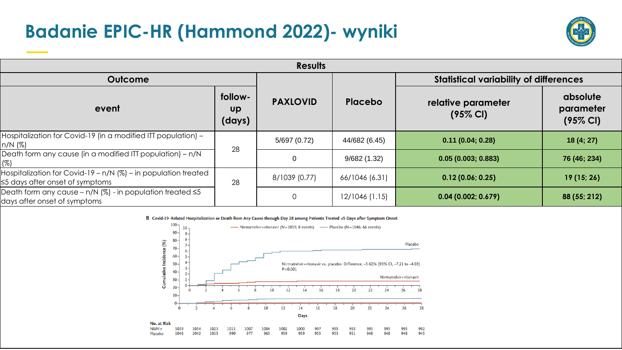#### **Badanie EPIC-HR (Hammond 2022)- wyniki**



| <b>Results</b>                                                                                          |                                |                 |                                               |                                           |                                              |  |  |
|---------------------------------------------------------------------------------------------------------|--------------------------------|-----------------|-----------------------------------------------|-------------------------------------------|----------------------------------------------|--|--|
| <b>Outcome</b>                                                                                          |                                |                 | <b>Statistical variability of differences</b> |                                           |                                              |  |  |
| event                                                                                                   | follow-<br><b>Up</b><br>(days) | <b>PAXLOVID</b> | Placebo                                       | relative parameter<br>$(95\% \text{ Cl})$ | absolute<br>parameter<br>$(95\% \text{ Cl})$ |  |  |
| Hospitalization for Covid-19 (in a modified ITT population) -<br>n/N (%)                                |                                | 5/697 (0.72)    | 44/682 (6.45)                                 | 0.11(0.04; 0.28)                          | 18(4; 27)                                    |  |  |
| Death form any cause (in a modified ITT population) - n/N<br>(%)                                        | 28                             | $\overline{0}$  | 9/682(1.32)                                   | 0.05(0.003; 0.883)                        | 76 (46; 234)                                 |  |  |
| Hospitalization for Covid-19 - n/N (%) - in population treated<br>$\leq$ 5 days after onset of symptoms | 28                             | 8/1039 (0.77)   | 66/1046 (6.31)                                | 0.12(0.06; 0.25)                          | 19(15; 26)                                   |  |  |
| Death form any cause - n/N $(\%)$ - in population treated $\leq 5$<br>days after onset of symptoms      |                                | $\Omega$        | 12/1046 (1.15)                                | 0.04(0.002; 0.679)                        | 88 (55; 212)                                 |  |  |

B Covid-19-Related Hospitalization or Death from Any Cause through Day 28 among Patients Treated ≤5 Days after Symptom Onset